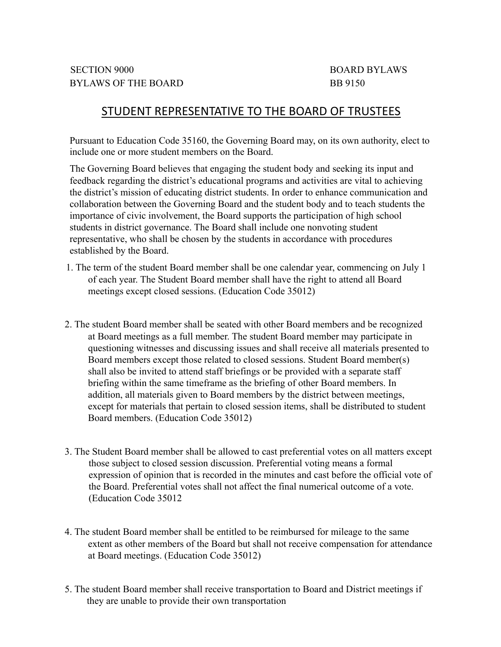# STUDENT REPRESENTATIVE TO THE BOARD OF TRUSTEES

Pursuant to Education Code 35160, the Governing Board may, on its own authority, elect to include one or more student members on the Board.

The Governing Board believes that engaging the student body and seeking its input and feedback regarding the district's educational programs and activities are vital to achieving the district's mission of educating district students. In order to enhance communication and collaboration between the Governing Board and the student body and to teach students the importance of civic involvement, the Board supports the participation of high school students in district governance. The Board shall include one nonvoting student representative, who shall be chosen by the students in accordance with procedures established by the Board.

- 1. The term of the student Board member shall be one calendar year, commencing on July 1 of each year. The Student Board member shall have the right to attend all Board meetings except closed sessions. (Education Code 35012)
- 2. The student Board member shall be seated with other Board members and be recognized at Board meetings as a full member. The student Board member may participate in questioning witnesses and discussing issues and shall receive all materials presented to Board members except those related to closed sessions. Student Board member(s) shall also be invited to attend staff briefings or be provided with a separate staff briefing within the same timeframe as the briefing of other Board members. In addition, all materials given to Board members by the district between meetings, except for materials that pertain to closed session items, shall be distributed to student Board members. (Education Code 35012)
- 3. The Student Board member shall be allowed to cast preferential votes on all matters except those subject to closed session discussion. Preferential voting means a formal expression of opinion that is recorded in the minutes and cast before the official vote of the Board. Preferential votes shall not affect the final numerical outcome of a vote. (Education Code 35012
- 4. The student Board member shall be entitled to be reimbursed for mileage to the same extent as other members of the Board but shall not receive compensation for attendance at Board meetings. (Education Code 35012)
- 5. The student Board member shall receive transportation to Board and District meetings if they are unable to provide their own transportation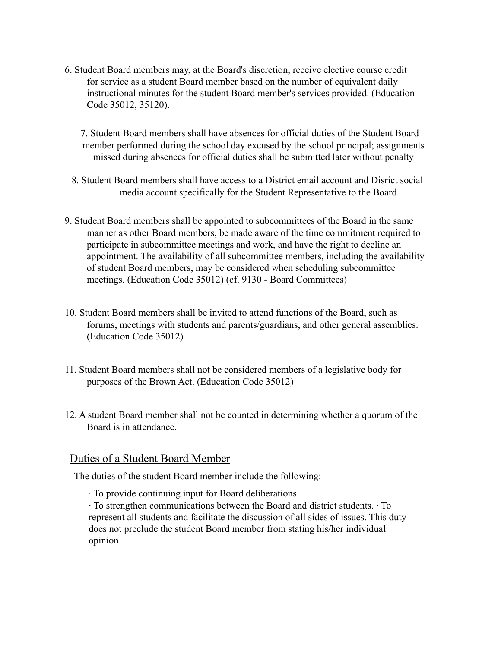6. Student Board members may, at the Board's discretion, receive elective course credit for service as a student Board member based on the number of equivalent daily instructional minutes for the student Board member's services provided. (Education Code 35012, 35120).

7. Student Board members shall have absences for official duties of the Student Board member performed during the school day excused by the school principal; assignments missed during absences for official duties shall be submitted later without penalty

- 8. Student Board members shall have access to a District email account and Disrict social media account specifically for the Student Representative to the Board
- 9. Student Board members shall be appointed to subcommittees of the Board in the same manner as other Board members, be made aware of the time commitment required to participate in subcommittee meetings and work, and have the right to decline an appointment. The availability of all subcommittee members, including the availability of student Board members, may be considered when scheduling subcommittee meetings. (Education Code 35012) (cf. 9130 - Board Committees)
- 10. Student Board members shall be invited to attend functions of the Board, such as forums, meetings with students and parents/guardians, and other general assemblies. (Education Code 35012)
- 11. Student Board members shall not be considered members of a legislative body for purposes of the Brown Act. (Education Code 35012)
- 12. A student Board member shall not be counted in determining whether a quorum of the Board is in attendance.

#### Duties of a Student Board Member

The duties of the student Board member include the following:

∙ To provide continuing input for Board deliberations.

∙ To strengthen communications between the Board and district students. ∙ To represent all students and facilitate the discussion of all sides of issues. This duty does not preclude the student Board member from stating his/her individual opinion.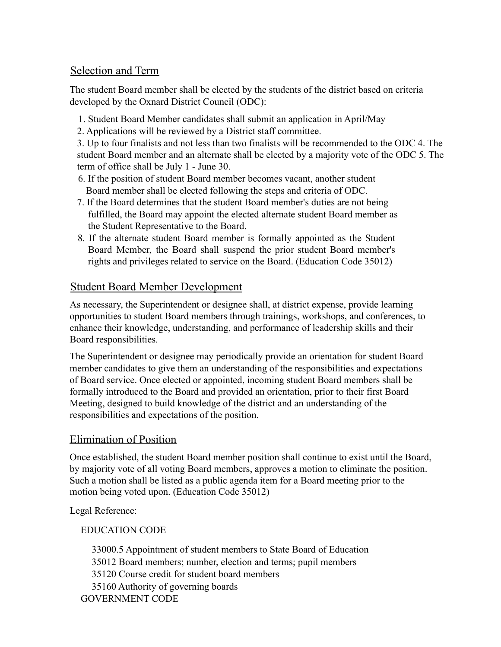### Selection and Term

The student Board member shall be elected by the students of the district based on criteria developed by the Oxnard District Council (ODC):

- 1. Student Board Member candidates shall submit an application in April/May
- 2. Applications will be reviewed by a District staff committee.

3. Up to four finalists and not less than two finalists will be recommended to the ODC 4. The student Board member and an alternate shall be elected by a majority vote of the ODC 5. The term of office shall be July 1 - June 30.

- 6. If the position of student Board member becomes vacant, another student Board member shall be elected following the steps and criteria of ODC.
- 7. If the Board determines that the student Board member's duties are not being fulfilled, the Board may appoint the elected alternate student Board member as the Student Representative to the Board.
- 8. If the alternate student Board member is formally appointed as the Student Board Member, the Board shall suspend the prior student Board member's rights and privileges related to service on the Board. (Education Code 35012)

## Student Board Member Development

As necessary, the Superintendent or designee shall, at district expense, provide learning opportunities to student Board members through trainings, workshops, and conferences, to enhance their knowledge, understanding, and performance of leadership skills and their Board responsibilities.

The Superintendent or designee may periodically provide an orientation for student Board member candidates to give them an understanding of the responsibilities and expectations of Board service. Once elected or appointed, incoming student Board members shall be formally introduced to the Board and provided an orientation, prior to their first Board Meeting, designed to build knowledge of the district and an understanding of the responsibilities and expectations of the position.

## Elimination of Position

Once established, the student Board member position shall continue to exist until the Board, by majority vote of all voting Board members, approves a motion to eliminate the position. Such a motion shall be listed as a public agenda item for a Board meeting prior to the motion being voted upon. (Education Code 35012)

Legal Reference:

EDUCATION CODE

33000.5 Appointment of student members to State Board of Education 35012 Board members; number, election and terms; pupil members 35120 Course credit for student board members 35160 Authority of governing boards GOVERNMENT CODE